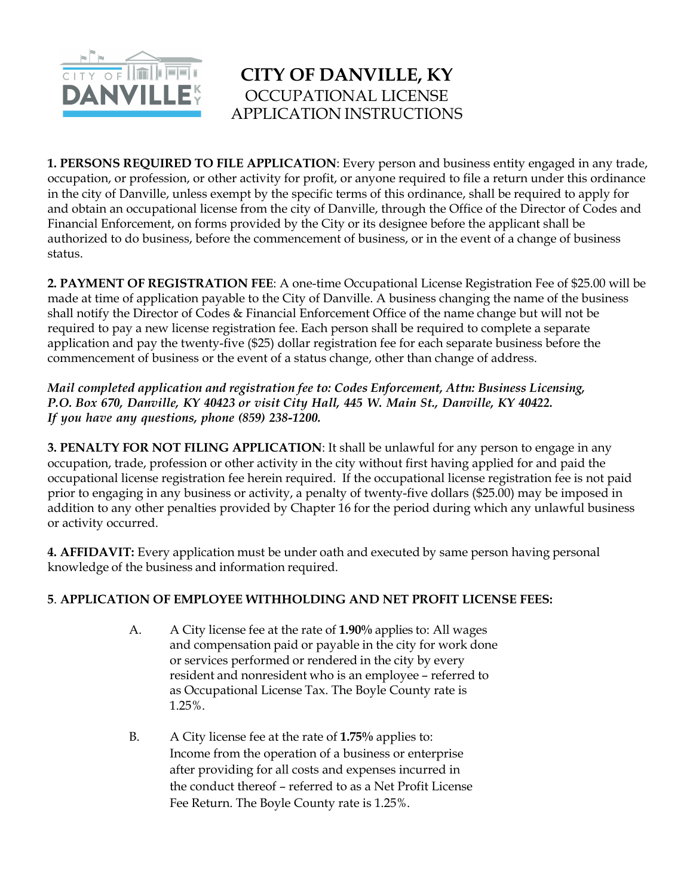

## **CITY OF DANVILLE, KY** OCCUPATIONAL LICENSE APPLICATION INSTRUCTIONS

**1. PERSONS REQUIRED TO FILE APPLICATION**: Every person and business entity engaged in any trade, occupation, or profession, or other activity for profit, or anyone required to file a return under this ordinance in the city of Danville, unless exempt by the specific terms of this ordinance, shall be required to apply for and obtain an occupational license from the city of Danville, through the Office of the Director of Codes and Financial Enforcement, on forms provided by the City or its designee before the applicant shall be authorized to do business, before the commencement of business, or in the event of a change of business status.

**2. PAYMENT OF REGISTRATION FEE**: A one-time Occupational License Registration Fee of \$25.00 will be made at time of application payable to the City of Danville. A business changing the name of the business shall notify the Director of Codes & Financial Enforcement Office of the name change but will not be required to pay a new license registration fee. Each person shall be required to complete a separate application and pay the twenty-five (\$25) dollar registration fee for each separate business before the commencement of business or the event of a status change, other than change of address.

*Mail completed application and registration fee to: Codes Enforcement, Attn: Business Licensing, P.O. Box 670, Danville, KY 40423 or visit City Hall, 445 W. Main St., Danville, KY 40422. If you have any questions, phone (859) 238-1200.*

**3. PENALTY FOR NOT FILING APPLICATION**: It shall be unlawful for any person to engage in any occupation, trade, profession or other activity in the city without first having applied for and paid the occupational license registration fee herein required. If the occupational license registration fee is not paid prior to engaging in any business or activity, a penalty of twenty-five dollars (\$25.00) may be imposed in addition to any other penalties provided by Chapter 16 for the period during which any unlawful business or activity occurred.

**4. AFFIDAVIT:** Every application must be under oath and executed by same person having personal knowledge of the business and information required.

## **5**. **APPLICATION OF EMPLOYEE WITHHOLDING AND NET PROFIT LICENSE FEES:**

- A. A City license fee at the rate of **1.90%** applies to: All wages and compensation paid or payable in the city for work done or services performed or rendered in the city by every resident and nonresident who is an employee – referred to as Occupational License Tax. The Boyle County rate is 1.25%.
- B. A City license fee at the rate of **1.75%** applies to: Income from the operation of a business or enterprise after providing for all costs and expenses incurred in the conduct thereof – referred to as a Net Profit License Fee Return. The Boyle County rate is 1.25%.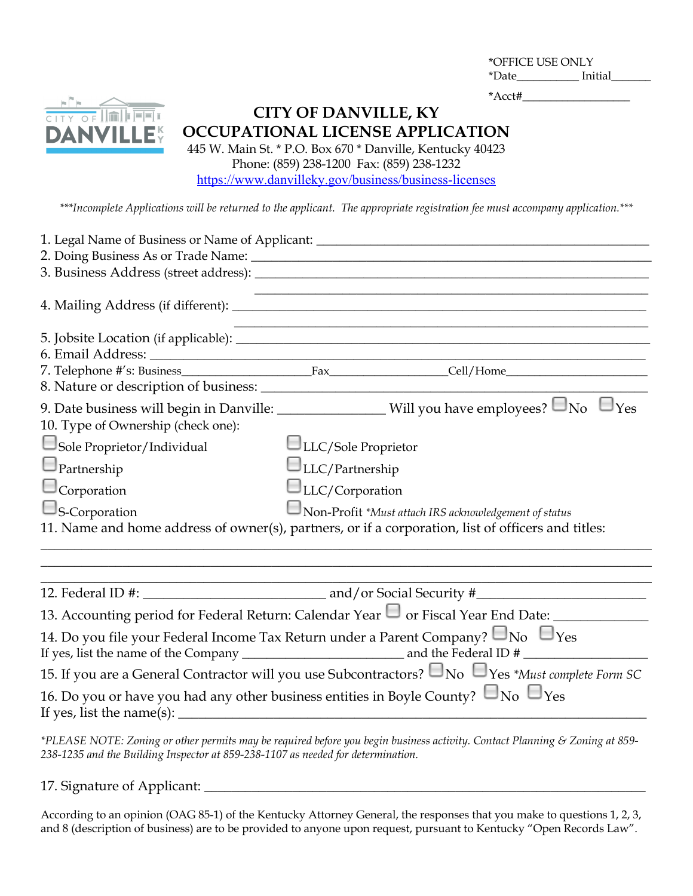\*OFFICE USE ONLY \*Date\_\_\_\_\_\_\_\_\_\_\_ Initial\_\_\_\_\_\_\_

\*Acct#\_\_\_\_\_\_\_\_\_\_\_\_\_\_\_\_\_\_\_



**CITY OF DANVILLE, KY OCCUPATIONAL LICENSE APPLICATION**

445 W. Main St. \* P.O. Box 670 \* Danville, Kentucky 40423 Phone: (859) 238-1200 Fax: (859) 238-1232 https://www.danvilleky.gov/business/business-licenses

*\*\*\*Incomplete Applications will be returned to the applicant. The appropriate registration fee must accompany application.\*\*\**

| 1. Legal Name of Business or Name of Applicant: ________________________________                                                   |                        |                                                                                                                  |
|------------------------------------------------------------------------------------------------------------------------------------|------------------------|------------------------------------------------------------------------------------------------------------------|
|                                                                                                                                    |                        |                                                                                                                  |
|                                                                                                                                    |                        |                                                                                                                  |
|                                                                                                                                    |                        |                                                                                                                  |
|                                                                                                                                    |                        | and the control of the control of the control of the control of the control of the control of the control of the |
|                                                                                                                                    |                        |                                                                                                                  |
|                                                                                                                                    |                        |                                                                                                                  |
|                                                                                                                                    |                        |                                                                                                                  |
|                                                                                                                                    |                        | 9. Date business will begin in Danville: ________________Will you have employees? $\Box$ No $\Box$ Yes           |
| 10. Type of Ownership (check one):                                                                                                 |                        |                                                                                                                  |
| Sole Proprietor/Individual                                                                                                         | LLC/Sole Proprietor    |                                                                                                                  |
| $\Box$ Partnership                                                                                                                 | $\Box$ LLC/Partnership |                                                                                                                  |
| $\Box$ Corporation                                                                                                                 | $\Box$ LLC/Corporation |                                                                                                                  |
| $\Box$ S-Corporation                                                                                                               |                        | $\Box$ Non-Profit *Must attach IRS acknowledgement of status                                                     |
| 11. Name and home address of owner(s), partners, or if a corporation, list of officers and titles:                                 |                        |                                                                                                                  |
|                                                                                                                                    |                        |                                                                                                                  |
|                                                                                                                                    |                        |                                                                                                                  |
|                                                                                                                                    |                        | 13. Accounting period for Federal Return: Calendar Year $\Box$ or Fiscal Year End Date: ______________           |
|                                                                                                                                    |                        |                                                                                                                  |
| 14. Do you file your Federal Income Tax Return under a Parent Company? $\square_{\text{No}}$ $\square_{\text{Yes}}$                |                        |                                                                                                                  |
|                                                                                                                                    |                        | 15. If you are a General Contractor will you use Subcontractors? $\Box$ No $\Box$ Yes *Must complete Form SC     |
| 16. Do you or have you had any other business entities in Boyle County? $\Box$ No $\Box$ Yes<br>If yes, list the name(s): $\angle$ |                        |                                                                                                                  |

*\*PLEASE NOTE: Zoning or other permits may be required before you begin business activity. Contact Planning & Zoning at 859- 238-1235 and the Building Inspector at 859-238-1107 as needed for determination.*

17. Signature of Applicant: \_\_\_\_\_\_\_\_\_\_\_\_\_\_\_\_\_\_\_\_\_\_\_\_\_\_\_\_\_\_\_\_\_\_\_\_\_\_\_\_\_\_\_\_\_\_\_\_\_\_\_\_\_\_\_\_\_\_\_\_\_\_\_\_\_

According to an opinion (OAG 85-1) of the Kentucky Attorney General, the responses that you make to questions 1, 2, 3, and 8 (description of business) are to be provided to anyone upon request, pursuant to Kentucky "Open Records Law".